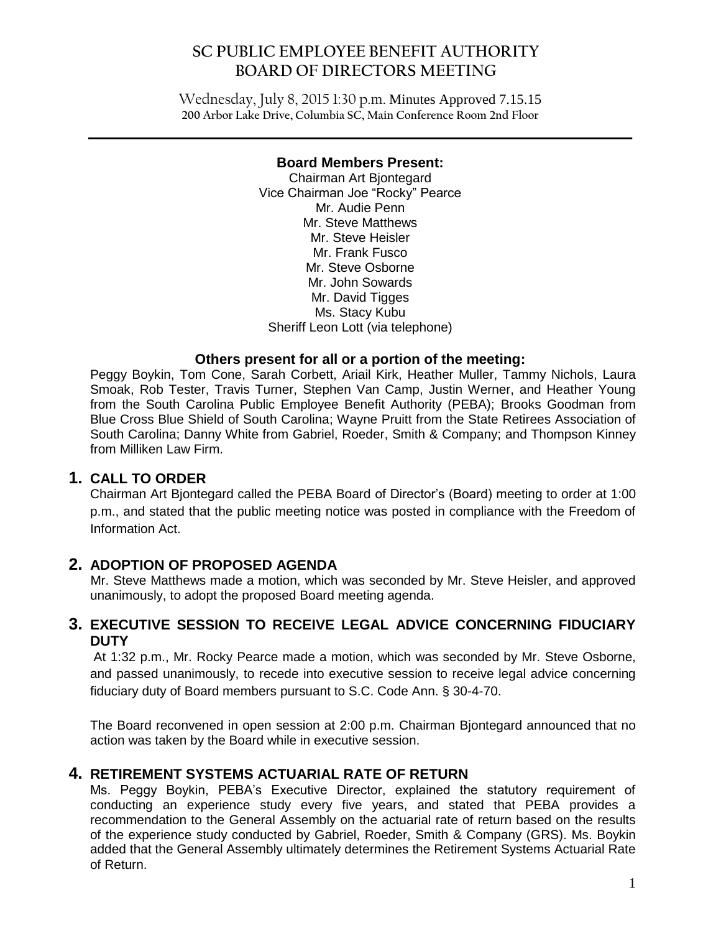## **SC PUBLIC EMPLOYEE BENEFIT AUTHORITY BOARD OF DIRECTORS MEETING**

Wednesday, July 8, 2015 1:30 p.m. Minutes Approved 7.15.15 **200 Arbor Lake Drive, Columbia SC, Main Conference Room 2nd Floor**

#### **Board Members Present:**

 $\mathcal{L}_\mathcal{L} = \mathcal{L}_\mathcal{L} = \mathcal{L}_\mathcal{L} = \mathcal{L}_\mathcal{L} = \mathcal{L}_\mathcal{L} = \mathcal{L}_\mathcal{L} = \mathcal{L}_\mathcal{L} = \mathcal{L}_\mathcal{L} = \mathcal{L}_\mathcal{L} = \mathcal{L}_\mathcal{L} = \mathcal{L}_\mathcal{L} = \mathcal{L}_\mathcal{L} = \mathcal{L}_\mathcal{L} = \mathcal{L}_\mathcal{L} = \mathcal{L}_\mathcal{L} = \mathcal{L}_\mathcal{L} = \mathcal{L}_\mathcal{L}$ 

Chairman Art Bjontegard Vice Chairman Joe "Rocky" Pearce Mr. Audie Penn Mr. Steve Matthews Mr. Steve Heisler Mr. Frank Fusco Mr. Steve Osborne Mr. John Sowards Mr. David Tigges Ms. Stacy Kubu Sheriff Leon Lott (via telephone)

#### **Others present for all or a portion of the meeting:**

Peggy Boykin, Tom Cone, Sarah Corbett, Ariail Kirk, Heather Muller, Tammy Nichols, Laura Smoak, Rob Tester, Travis Turner, Stephen Van Camp, Justin Werner, and Heather Young from the South Carolina Public Employee Benefit Authority (PEBA); Brooks Goodman from Blue Cross Blue Shield of South Carolina; Wayne Pruitt from the State Retirees Association of South Carolina; Danny White from Gabriel, Roeder, Smith & Company; and Thompson Kinney from Milliken Law Firm.

### **1. CALL TO ORDER**

Chairman Art Bjontegard called the PEBA Board of Director's (Board) meeting to order at 1:00 p.m., and stated that the public meeting notice was posted in compliance with the Freedom of Information Act.

### **2. ADOPTION OF PROPOSED AGENDA**

Mr. Steve Matthews made a motion, which was seconded by Mr. Steve Heisler, and approved unanimously, to adopt the proposed Board meeting agenda.

### **3. EXECUTIVE SESSION TO RECEIVE LEGAL ADVICE CONCERNING FIDUCIARY DUTY**

At 1:32 p.m., Mr. Rocky Pearce made a motion, which was seconded by Mr. Steve Osborne, and passed unanimously, to recede into executive session to receive legal advice concerning fiduciary duty of Board members pursuant to S.C. Code Ann. § 30-4-70.

The Board reconvened in open session at 2:00 p.m. Chairman Bjontegard announced that no action was taken by the Board while in executive session.

### **4. RETIREMENT SYSTEMS ACTUARIAL RATE OF RETURN**

Ms. Peggy Boykin, PEBA's Executive Director, explained the statutory requirement of conducting an experience study every five years, and stated that PEBA provides a recommendation to the General Assembly on the actuarial rate of return based on the results of the experience study conducted by Gabriel, Roeder, Smith & Company (GRS). Ms. Boykin added that the General Assembly ultimately determines the Retirement Systems Actuarial Rate of Return.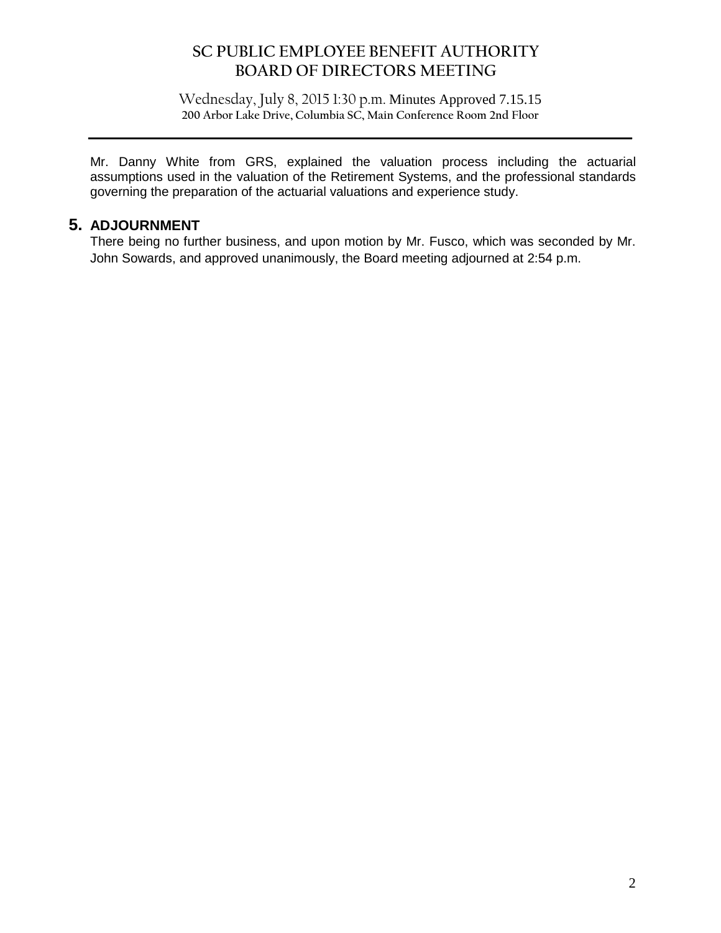## **SC PUBLIC EMPLOYEE BENEFIT AUTHORITY BOARD OF DIRECTORS MEETING**

Wednesday, July 8, 2015 1:30 p.m. Minutes Approved 7.15.15 **200 Arbor Lake Drive, Columbia SC, Main Conference Room 2nd Floor**

 $\mathcal{L}_\mathcal{L} = \mathcal{L}_\mathcal{L} = \mathcal{L}_\mathcal{L} = \mathcal{L}_\mathcal{L} = \mathcal{L}_\mathcal{L} = \mathcal{L}_\mathcal{L} = \mathcal{L}_\mathcal{L} = \mathcal{L}_\mathcal{L} = \mathcal{L}_\mathcal{L} = \mathcal{L}_\mathcal{L} = \mathcal{L}_\mathcal{L} = \mathcal{L}_\mathcal{L} = \mathcal{L}_\mathcal{L} = \mathcal{L}_\mathcal{L} = \mathcal{L}_\mathcal{L} = \mathcal{L}_\mathcal{L} = \mathcal{L}_\mathcal{L}$ 

Mr. Danny White from GRS, explained the valuation process including the actuarial assumptions used in the valuation of the Retirement Systems, and the professional standards governing the preparation of the actuarial valuations and experience study.

### **5. ADJOURNMENT**

There being no further business, and upon motion by Mr. Fusco, which was seconded by Mr. John Sowards, and approved unanimously, the Board meeting adjourned at 2:54 p.m.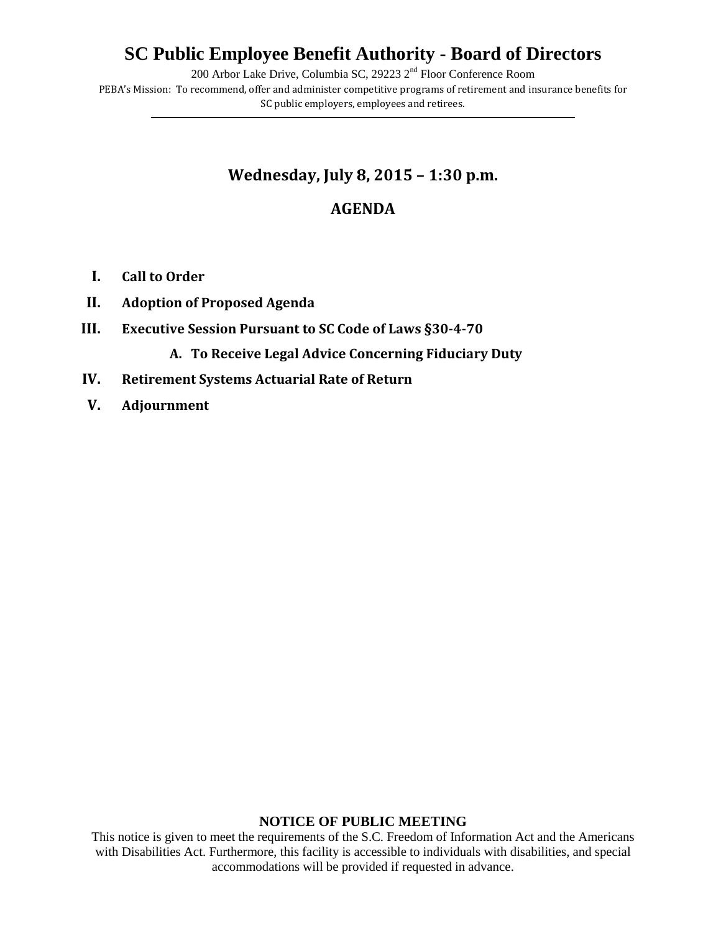# **SC Public Employee Benefit Authority - Board of Directors**

200 Arbor Lake Drive, Columbia SC, 29223 2nd Floor Conference Room

PEBA's Mission: To recommend, offer and administer competitive programs of retirement and insurance benefits for SC public employers, employees and retirees. **\_\_\_\_\_\_\_\_\_\_\_\_\_\_\_\_\_\_\_\_\_\_\_\_\_\_\_\_\_\_\_\_\_\_\_\_\_\_\_\_\_\_\_\_\_\_\_\_\_\_\_\_\_\_\_\_\_\_\_\_\_\_\_\_\_\_\_\_\_\_\_\_\_\_\_\_\_\_\_\_\_\_\_\_\_\_\_\_\_\_\_\_\_\_\_\_\_\_\_\_\_\_\_\_\_\_\_\_\_\_\_\_\_\_\_\_\_\_\_\_\_\_\_\_\_\_\_\_\_\_\_\_\_\_\_\_\_\_\_\_\_\_\_\_**

## **Wednesday, July 8, 2015 – 1:30 p.m.**

## **AGENDA**

- **I. Call to Order**
- **II. Adoption of Proposed Agenda**
- **III. Executive Session Pursuant to SC Code of Laws §30-4-70**

**A. To Receive Legal Advice Concerning Fiduciary Duty**

- **IV. Retirement Systems Actuarial Rate of Return**
- **V. Adjournment**

#### **NOTICE OF PUBLIC MEETING**

This notice is given to meet the requirements of the S.C. Freedom of Information Act and the Americans with Disabilities Act. Furthermore, this facility is accessible to individuals with disabilities, and special accommodations will be provided if requested in advance.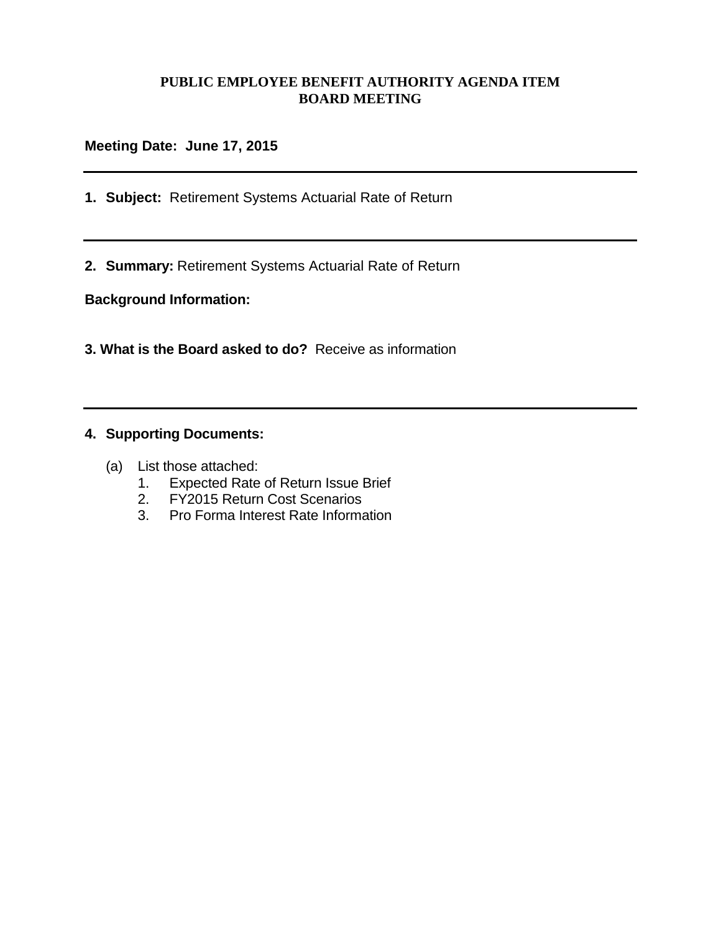#### **PUBLIC EMPLOYEE BENEFIT AUTHORITY AGENDA ITEM BOARD MEETING**

#### **Meeting Date: June 17, 2015**

- **1. Subject:** Retirement Systems Actuarial Rate of Return
- **2. Summary:** Retirement Systems Actuarial Rate of Return

**Background Information:**

**3. What is the Board asked to do?** Receive as information

#### **4. Supporting Documents:**

- (a) List those attached:
	- 1. Expected Rate of Return Issue Brief
	- 2. FY2015 Return Cost Scenarios
	- 3. Pro Forma Interest Rate Information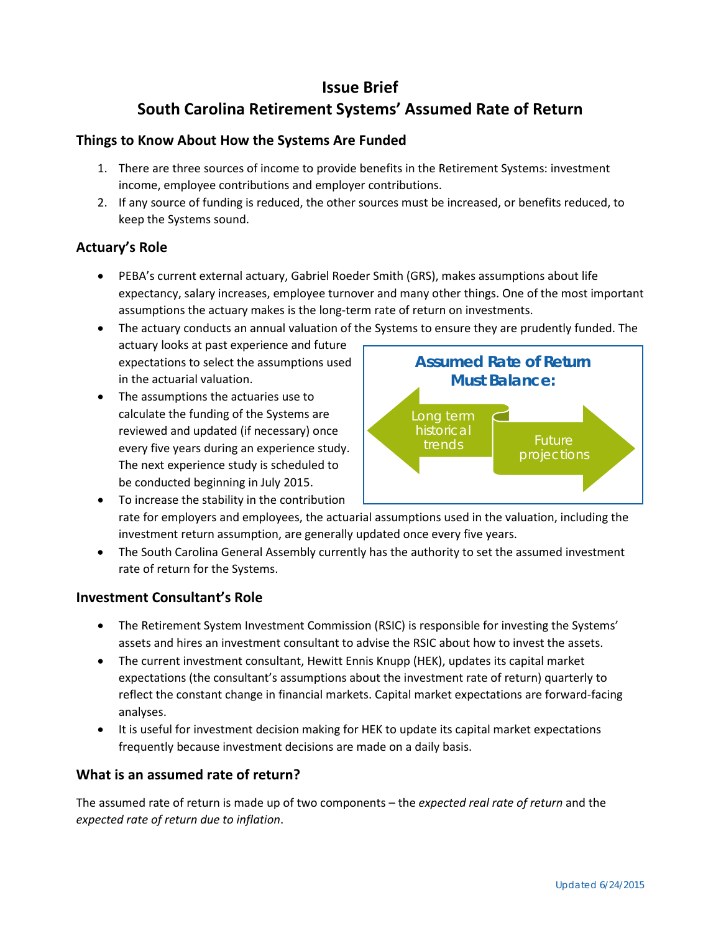## **Issue Brief South Carolina Retirement Systems' Assumed Rate of Return**

#### **Things to Know About How the Systems Are Funded**

- 1. There are three sources of income to provide benefits in the Retirement Systems: investment income, employee contributions and employer contributions.
- 2. If any source of funding is reduced, the other sources must be increased, or benefits reduced, to keep the Systems sound.

#### **Actuary's Role**

- PEBA's current external actuary, Gabriel Roeder Smith (GRS), makes assumptions about life expectancy, salary increases, employee turnover and many other things. One of the most important assumptions the actuary makes is the long-term rate of return on investments.
- The actuary conducts an annual valuation of the Systems to ensure they are prudently funded. The actuary looks at past experience and future expectations to select the assumptions used in the actuarial valuation. **Assumed Rate of Return Must Balance:**
- The assumptions the actuaries use to calculate the funding of the Systems are reviewed and updated (if necessary) once every five years during an experience study. The next experience study is scheduled to be conducted beginning in July 2015.



- To increase the stability in the contribution rate for employers and employees, the actuarial assumptions used in the valuation, including the investment return assumption, are generally updated once every five years.
- The South Carolina General Assembly currently has the authority to set the assumed investment rate of return for the Systems.

#### **Investment Consultant's Role**

- The Retirement System Investment Commission (RSIC) is responsible for investing the Systems' assets and hires an investment consultant to advise the RSIC about how to invest the assets.
- The current investment consultant, Hewitt Ennis Knupp (HEK), updates its capital market expectations (the consultant's assumptions about the investment rate of return) quarterly to reflect the constant change in financial markets. Capital market expectations are forward-facing analyses.
- It is useful for investment decision making for HEK to update its capital market expectations frequently because investment decisions are made on a daily basis.

#### **What is an assumed rate of return?**

The assumed rate of return is made up of two components – the *expected real rate of return* and the *expected rate of return due to inflation*.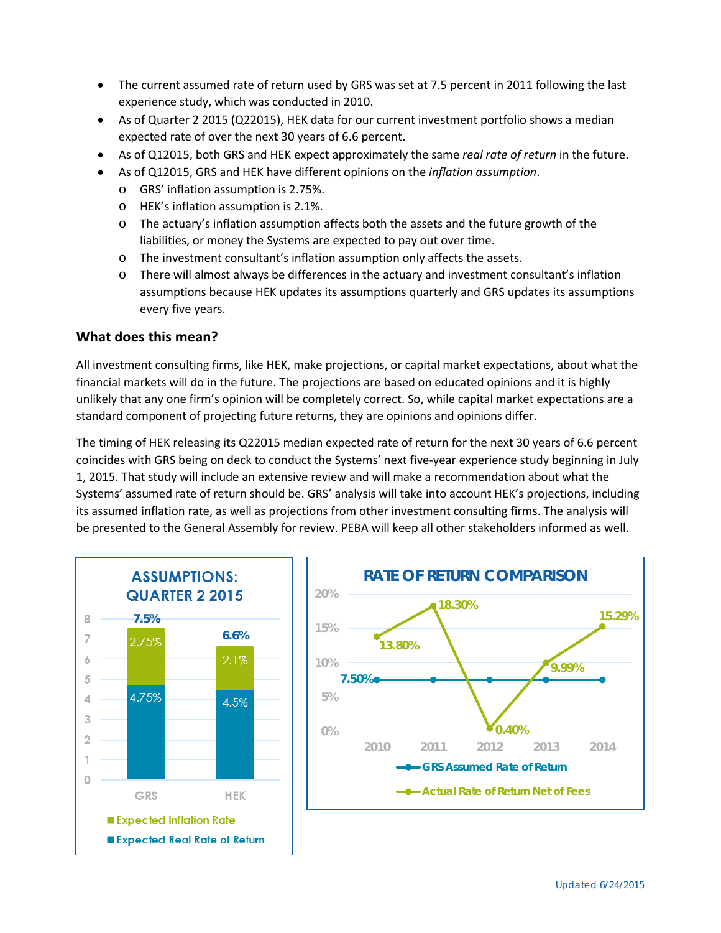- The current assumed rate of return used by GRS was set at 7.5 percent in 2011 following the last experience study, which was conducted in 2010.
- As of Quarter 2 2015 (Q22015), HEK data for our current investment portfolio shows a median expected rate of over the next 30 years of 6.6 percent.
- As of Q12015, both GRS and HEK expect approximately the same *real rate of return* in the future.
	- As of Q12015, GRS and HEK have different opinions on the *inflation assumption*.
		- o GRS' inflation assumption is 2.75%.
		- o HEK's inflation assumption is 2.1%.
		- o The actuary's inflation assumption affects both the assets and the future growth of the liabilities, or money the Systems are expected to pay out over time.
		- o The investment consultant's inflation assumption only affects the assets.
		- o There will almost always be differences in the actuary and investment consultant's inflation assumptions because HEK updates its assumptions quarterly and GRS updates its assumptions every five years.

#### **What does this mean?**

All investment consulting firms, like HEK, make projections, or capital market expectations, about what the financial markets will do in the future. The projections are based on educated opinions and it is highly unlikely that any one firm's opinion will be completely correct. So, while capital market expectations are a standard component of projecting future returns, they are opinions and opinions differ.

The timing of HEK releasing its Q22015 median expected rate of return for the next 30 years of 6.6 percent coincides with GRS being on deck to conduct the Systems' next five-year experience study beginning in July 1, 2015. That study will include an extensive review and will make a recommendation about what the Systems' assumed rate of return should be. GRS' analysis will take into account HEK's projections, including its assumed inflation rate, as well as projections from other investment consulting firms. The analysis will be presented to the General Assembly for review. PEBA will keep all other stakeholders informed as well.

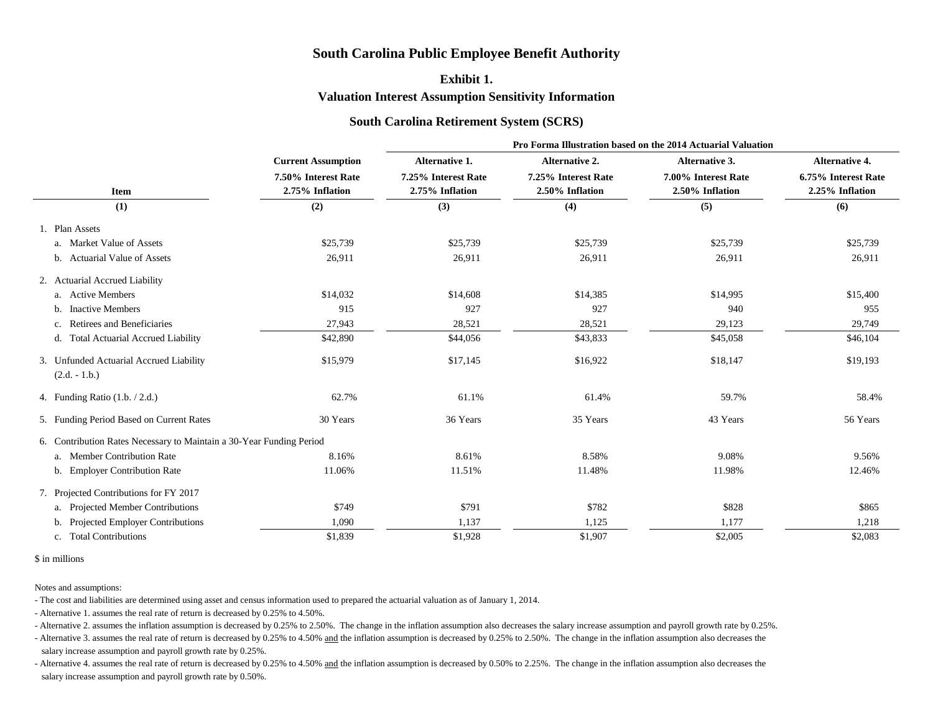- Alternative 2. assumes the inflation assumption is decreased by 0.25% to 2.50%. The change in the inflation assumption also decreases the salary increase assumption and payroll growth rate by 0.25%. - Alternative 3. assumes the real rate of return is decreased by 0.25% to 4.50% and the inflation assumption is decreased by 0.25% to 2.50%. The change in the inflation assumption also decreases the salary increase assumption and payroll growth rate by 0.25%.

- Alternative 4. assumes the real rate of return is decreased by 0.25% to 4.50% and the inflation assumption is decreased by 0.50% to 2.25%. The change in the inflation assumption also decreases the salary increase assumption and payroll growth rate by 0.50%.

|                                                                      |                                        | Pro Forma Illustration based on the 2014 Actuarial Valuation |                                        |                                        |                                        |  |  |  |  |
|----------------------------------------------------------------------|----------------------------------------|--------------------------------------------------------------|----------------------------------------|----------------------------------------|----------------------------------------|--|--|--|--|
|                                                                      | <b>Current Assumption</b>              | <b>Alternative 1.</b>                                        | <b>Alternative 2.</b>                  | <b>Alternative 3.</b>                  | <b>Alternative 4.</b>                  |  |  |  |  |
| <b>Item</b>                                                          | 7.50% Interest Rate<br>2.75% Inflation | 7.25% Interest Rate<br>2.75% Inflation                       | 7.25% Interest Rate<br>2.50% Inflation | 7.00% Interest Rate<br>2.50% Inflation | 6.75% Interest Rate<br>2.25% Inflation |  |  |  |  |
| (1)                                                                  | (2)                                    | (3)                                                          | (4)                                    | (5)                                    | (6)                                    |  |  |  |  |
| 1. Plan Assets                                                       |                                        |                                                              |                                        |                                        |                                        |  |  |  |  |
| a. Market Value of Assets                                            | \$25,739                               | \$25,739                                                     | \$25,739                               | \$25,739                               | \$25,739                               |  |  |  |  |
| b. Actuarial Value of Assets                                         | 26,911                                 | 26,911                                                       | 26,911                                 | 26,911                                 | 26,911                                 |  |  |  |  |
| 2. Actuarial Accrued Liability                                       |                                        |                                                              |                                        |                                        |                                        |  |  |  |  |
| a. Active Members                                                    | \$14,032                               | \$14,608                                                     | \$14,385                               | \$14,995                               | \$15,400                               |  |  |  |  |
| b. Inactive Members                                                  | 915                                    | 927                                                          | 927                                    | 940                                    | 955                                    |  |  |  |  |
| c. Retirees and Beneficiaries                                        | 27,943                                 | 28,521                                                       | 28,521                                 | 29,123                                 | 29,749                                 |  |  |  |  |
| d. Total Actuarial Accrued Liability                                 | \$42,890                               | \$44,056                                                     | \$43,833                               | \$45,058                               | \$46,104                               |  |  |  |  |
| 3. Unfunded Actuarial Accrued Liability<br>$(2.d. - 1.b.)$           | \$15,979                               | \$17,145                                                     | \$16,922                               | \$18,147                               | \$19,193                               |  |  |  |  |
| 4. Funding Ratio $(1.b. / 2.d.)$                                     | 62.7%                                  | 61.1%                                                        | 61.4%                                  | 59.7%                                  | 58.4%                                  |  |  |  |  |
| 5. Funding Period Based on Current Rates                             | 30 Years                               | 36 Years                                                     | 35 Years                               | 43 Years                               | 56 Years                               |  |  |  |  |
| 6. Contribution Rates Necessary to Maintain a 30-Year Funding Period |                                        |                                                              |                                        |                                        |                                        |  |  |  |  |
| a. Member Contribution Rate                                          | 8.16%                                  | 8.61%                                                        | 8.58%                                  | 9.08%                                  | 9.56%                                  |  |  |  |  |
| b. Employer Contribution Rate                                        | 11.06%                                 | 11.51%                                                       | 11.48%                                 | 11.98%                                 | 12.46%                                 |  |  |  |  |
| 7. Projected Contributions for FY 2017                               |                                        |                                                              |                                        |                                        |                                        |  |  |  |  |
| a. Projected Member Contributions                                    | \$749                                  | \$791                                                        | \$782                                  | \$828                                  | \$865                                  |  |  |  |  |
| b. Projected Employer Contributions                                  | 1,090                                  | 1,137                                                        | 1,125                                  | 1,177                                  | 1,218                                  |  |  |  |  |
| c. Total Contributions                                               | \$1,839                                | \$1,928                                                      | \$1,907                                | \$2,005                                | \$2,083                                |  |  |  |  |
|                                                                      |                                        |                                                              |                                        |                                        |                                        |  |  |  |  |

## \$ in millions

Notes and assumptions:

- The cost and liabilities are determined using asset and census information used to prepared the actuarial valuation as of January 1, 2014.

- Alternative 1. assumes the real rate of return is decreased by 0.25% to 4.50%.

# **South Carolina Public Employee Benefit Authority**

# **Exhibit 1.**

**Valuation Interest Assumption Sensitivity Information**

# **South Carolina Retirement System (SCRS)**

**Pro Forma Illustration based on the 2014 Actuarial Valuation**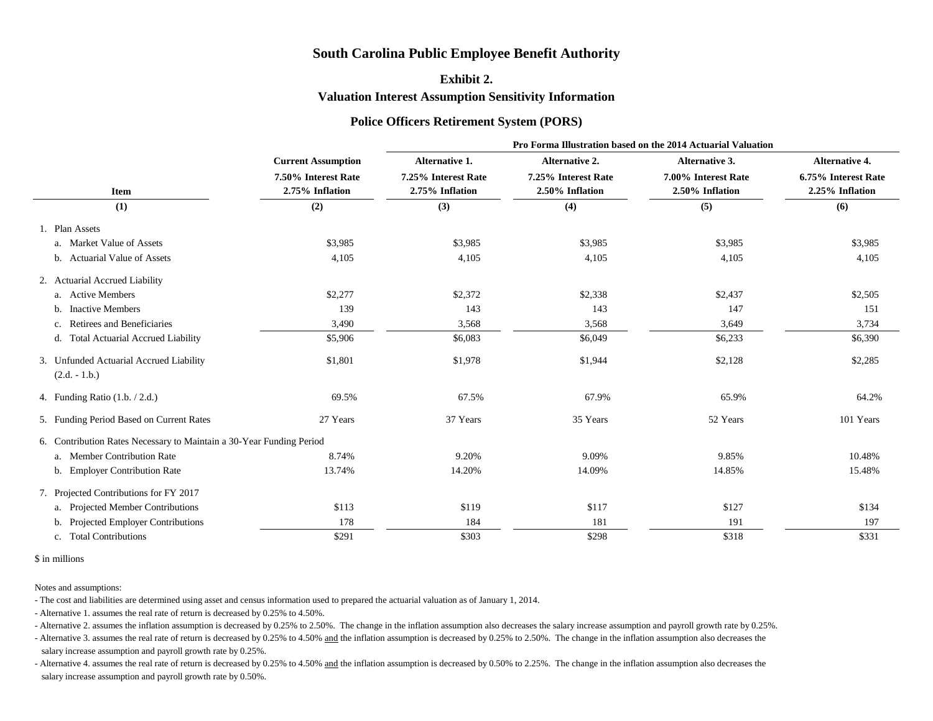- Alternative 2. assumes the inflation assumption is decreased by 0.25% to 2.50%. The change in the inflation assumption also decreases the salary increase assumption and payroll growth rate by 0.25%. - Alternative 3. assumes the real rate of return is decreased by 0.25% to 4.50% and the inflation assumption is decreased by 0.25% to 2.50%. The change in the inflation assumption also decreases the salary increase assumption and payroll growth rate by 0.25%.

- Alternative 4. assumes the real rate of return is decreased by 0.25% to 4.50% and the inflation assumption is decreased by 0.50% to 2.25%. The change in the inflation assumption also decreases the salary increase assumption and payroll growth rate by 0.50%.

**Pro Forma Illustration based on the 2014 Actuarial Valuation** 

|                                                                      |                                        | Pro Forma Illustration based on the 2014 Actuarial Valuation |                                        |                                        |                                                                 |  |  |  |  |
|----------------------------------------------------------------------|----------------------------------------|--------------------------------------------------------------|----------------------------------------|----------------------------------------|-----------------------------------------------------------------|--|--|--|--|
|                                                                      | <b>Current Assumption</b>              | <b>Alternative 1.</b>                                        | <b>Alternative 2.</b>                  | <b>Alternative 3.</b>                  | <b>Alternative 4.</b><br>6.75% Interest Rate<br>2.25% Inflation |  |  |  |  |
| <b>Item</b>                                                          | 7.50% Interest Rate<br>2.75% Inflation | 7.25% Interest Rate<br>2.75% Inflation                       | 7.25% Interest Rate<br>2.50% Inflation | 7.00% Interest Rate<br>2.50% Inflation |                                                                 |  |  |  |  |
| (1)                                                                  | (2)                                    | (3)                                                          | (4)                                    | (5)                                    | (6)                                                             |  |  |  |  |
| 1. Plan Assets                                                       |                                        |                                                              |                                        |                                        |                                                                 |  |  |  |  |
| a. Market Value of Assets                                            | \$3,985                                | \$3,985                                                      | \$3,985                                | \$3,985                                | \$3,985                                                         |  |  |  |  |
| b. Actuarial Value of Assets                                         | 4,105                                  | 4,105                                                        | 4,105                                  | 4,105                                  | 4,105                                                           |  |  |  |  |
| 2. Actuarial Accrued Liability                                       |                                        |                                                              |                                        |                                        |                                                                 |  |  |  |  |
| a. Active Members                                                    | \$2,277                                | \$2,372                                                      | \$2,338                                | \$2,437                                | \$2,505                                                         |  |  |  |  |
| <b>Inactive Members</b>                                              | 139                                    | 143                                                          | 143                                    | 147                                    | 151                                                             |  |  |  |  |
| <b>Retirees and Beneficiaries</b>                                    | 3,490                                  | 3,568                                                        | 3,568                                  | 3,649                                  | 3,734                                                           |  |  |  |  |
| d. Total Actuarial Accrued Liability                                 | \$5,906                                | \$6,083                                                      | \$6,049                                | \$6,233                                | \$6,390                                                         |  |  |  |  |
| 3. Unfunded Actuarial Accrued Liability                              | \$1,801                                | \$1,978                                                      | \$1,944                                | \$2,128                                | \$2,285                                                         |  |  |  |  |
| $(2.d. - 1.b.)$                                                      |                                        |                                                              |                                        |                                        |                                                                 |  |  |  |  |
| 4. Funding Ratio $(1.b. / 2.d.)$                                     | 69.5%                                  | 67.5%                                                        | 67.9%                                  | 65.9%                                  | 64.2%                                                           |  |  |  |  |
| 5. Funding Period Based on Current Rates                             | 27 Years                               | 37 Years                                                     | 35 Years                               | 52 Years                               | 101 Years                                                       |  |  |  |  |
| 6. Contribution Rates Necessary to Maintain a 30-Year Funding Period |                                        |                                                              |                                        |                                        |                                                                 |  |  |  |  |
| a. Member Contribution Rate                                          | 8.74%                                  | 9.20%                                                        | 9.09%                                  | 9.85%                                  | 10.48%                                                          |  |  |  |  |
| b. Employer Contribution Rate                                        | 13.74%                                 | 14.20%                                                       | 14.09%                                 | 14.85%                                 | 15.48%                                                          |  |  |  |  |
| 7. Projected Contributions for FY 2017                               |                                        |                                                              |                                        |                                        |                                                                 |  |  |  |  |
| a. Projected Member Contributions                                    | \$113                                  | \$119                                                        | \$117                                  | \$127                                  | \$134                                                           |  |  |  |  |
| b. Projected Employer Contributions                                  | 178                                    | 184                                                          | 181                                    | 191                                    | 197                                                             |  |  |  |  |
| c. Total Contributions                                               | \$291                                  | \$303                                                        | \$298                                  | \$318                                  | \$331                                                           |  |  |  |  |
|                                                                      |                                        |                                                              |                                        |                                        |                                                                 |  |  |  |  |

### \$ in millions

Notes and assumptions:

- The cost and liabilities are determined using asset and census information used to prepared the actuarial valuation as of January 1, 2014.

- Alternative 1. assumes the real rate of return is decreased by 0.25% to 4.50%.

**Valuation Interest Assumption Sensitivity Information**

# **Police Officers Retirement System (PORS)**

# **Exhibit 2.**

# **South Carolina Public Employee Benefit Authority**